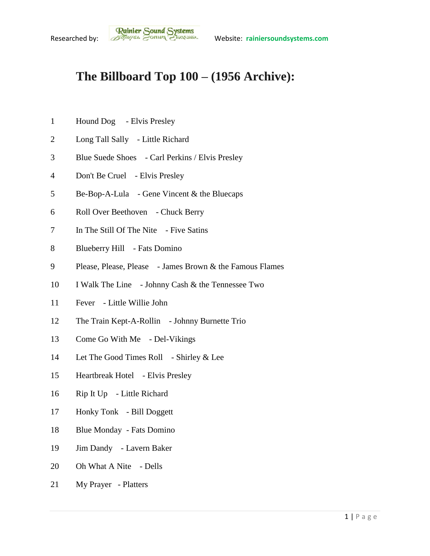## **The Billboard Top 100 – (1956 Archive):**

- Hound Dog Elvis Presley
- Long Tall Sally Little Richard
- Blue Suede Shoes Carl Perkins / Elvis Presley
- Don't Be Cruel Elvis Presley
- Be-Bop-A-Lula Gene Vincent & the Bluecaps
- Roll Over Beethoven Chuck Berry
- 7 In The Still Of The Nite Five Satins
- 8 Blueberry Hill Fats Domino
- Please, Please, Please James Brown & the Famous Flames
- I Walk The Line Johnny Cash & the Tennessee Two
- Fever Little Willie John
- 12 The Train Kept-A-Rollin Johnny Burnette Trio
- Come Go With Me Del-Vikings
- 14 Let The Good Times Roll Shirley & Lee
- Heartbreak Hotel Elvis Presley
- Rip It Up Little Richard
- Honky Tonk Bill Doggett
- Blue Monday Fats Domino
- Jim Dandy Lavern Baker
- 20 Oh What A Nite Dells
- My Prayer Platters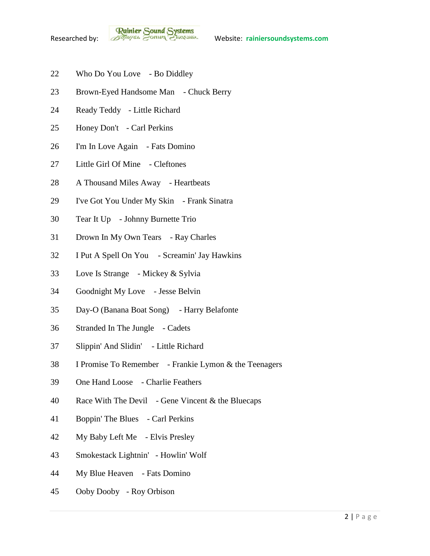**Rainier Sound Systems**<br>Researched by: *Bothuges* Conner Charantee Website: rainiersoundsystems.com

- Who Do You Love Bo Diddley
- 23 Brown-Eyed Handsome Man Chuck Berry
- Ready Teddy Little Richard
- Honey Don't Carl Perkins
- I'm In Love Again Fats Domino
- Little Girl Of Mine Cleftones
- 28 A Thousand Miles Away Heartbeats
- I've Got You Under My Skin Frank Sinatra
- Tear It Up Johnny Burnette Trio
- Drown In My Own Tears Ray Charles
- I Put A Spell On You Screamin' Jay Hawkins
- Love Is Strange Mickey & Sylvia
- Goodnight My Love Jesse Belvin
- Day-O (Banana Boat Song) Harry Belafonte
- Stranded In The Jungle Cadets
- Slippin' And Slidin' Little Richard
- I Promise To Remember Frankie Lymon & the Teenagers
- One Hand Loose Charlie Feathers
- Race With The Devil Gene Vincent & the Bluecaps
- Boppin' The Blues Carl Perkins
- My Baby Left Me Elvis Presley
- Smokestack Lightnin' Howlin' Wolf
- My Blue Heaven Fats Domino
- Ooby Dooby Roy Orbison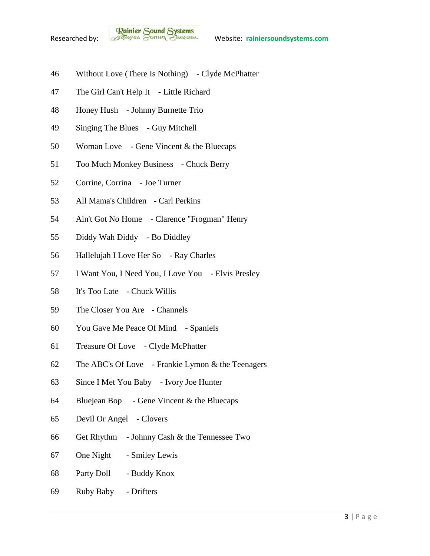

- Without Love (There Is Nothing) Clyde McPhatter
- The Girl Can't Help It Little Richard
- Honey Hush Johnny Burnette Trio
- Singing The Blues Guy Mitchell
- Woman Love Gene Vincent & the Bluecaps
- Too Much Monkey Business Chuck Berry
- Corrine, Corrina Joe Turner
- All Mama's Children Carl Perkins
- Ain't Got No Home Clarence "Frogman" Henry
- Diddy Wah Diddy Bo Diddley
- Hallelujah I Love Her So Ray Charles
- I Want You, I Need You, I Love You Elvis Presley
- It's Too Late Chuck Willis
- The Closer You Are Channels
- You Gave Me Peace Of Mind Spaniels
- Treasure Of Love Clyde McPhatter
- The ABC's Of Love Frankie Lymon & the Teenagers
- Since I Met You Baby Ivory Joe Hunter
- Bluejean Bop Gene Vincent & the Bluecaps
- Devil Or Angel Clovers
- Get Rhythm Johnny Cash & the Tennessee Two
- One Night Smiley Lewis
- Party Doll Buddy Knox
- Ruby Baby Drifters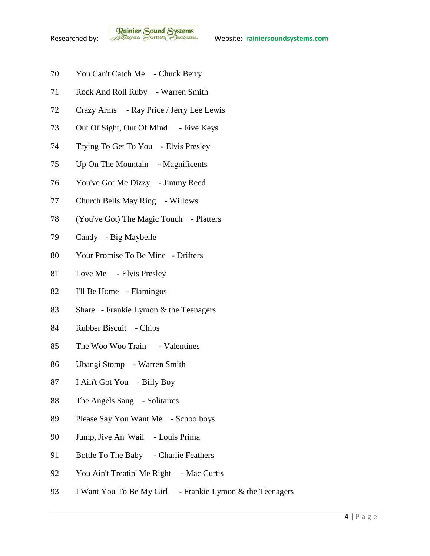**Rainier Sound Systems**<br>Researched by: *Bothuges* Conner Charantee Website: rainiersoundsystems.com

- You Can't Catch Me Chuck Berry
- Rock And Roll Ruby Warren Smith
- Crazy Arms Ray Price / Jerry Lee Lewis
- 73 Out Of Sight, Out Of Mind Five Keys
- Trying To Get To You Elvis Presley
- 75 Up On The Mountain Magnificents
- You've Got Me Dizzy Jimmy Reed
- Church Bells May Ring Willows
- (You've Got) The Magic Touch Platters
- Candy Big Maybelle
- Your Promise To Be Mine Drifters
- Love Me Elvis Presley
- I'll Be Home Flamingos
- Share Frankie Lymon & the Teenagers
- 84 Rubber Biscuit Chips
- The Woo Woo Train Valentines
- Ubangi Stomp Warren Smith
- I Ain't Got You Billy Boy
- The Angels Sang Solitaires
- Please Say You Want Me Schoolboys
- Jump, Jive An' Wail Louis Prima
- 91 Bottle To The Baby Charlie Feathers
- 92 You Ain't Treatin' Me Right Mac Curtis
- 93 I Want You To Be My Girl Frankie Lymon & the Teenagers